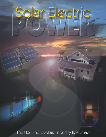

The U.S. Photovoltaic Industry Roadmap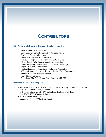# **CONTRIBUTORS**

#### **U.S. Photovoltaic Industry Roadmap Steering Committee**

- Allen Barnett, AstroPower, Inc.
- Larry Crowley (retired), formerly with Idaho Power
- J. Michael Davis, Avista Labs
- Chet Farris, Siemens Solar Industries
- Harvey Forest (retired), formerly with Solarex Corp.
- Glenn Hamer, Solar Energy Industries Association
- Lionel Kimerling, Massachusetts Institute of Technology
- Roger Little, Spire Corporation
- Michael Paranzino, Solar Energy Industries Association
- William Roppenecker (retired), formerly with Trace Engineering
- Richard Schwartz, Purdue University
- Harry Shimp, BP Solar
- Scott Sklar, The Stella Group, Ltd.; formerly with SEIA

#### **Roadmap Workshop Participants**

- National Center for Photovoltaics: Workshop on PV Program Strategic Direction, July 14-15, 1997 (Golden, Colorado)
- U.S. Photovoltaics Industry PV Technology Roadmap Workshop, June 23-25, 1999 (Chicago, Illinois)
- PV Roadmap Conference, December 13-14, 2000 (Dallas, Texas)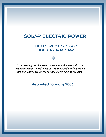# SOLAR-ELECTRIC POWER

### THE U.S. PHOTOVOLTAIC INDUSTRY ROADMAP

*"…providing the electricity consumer with competitive and environmentally friendly energy products and services from a thriving United States-based solar-electric power industry."*

Reprinted January 2003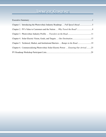### TABLE OF CONTENTS TABLE OF CONTENTS

| Chapter 1. Introducing the Photovoltaic Industry Roadmap  Full Speed Ahead           |  |
|--------------------------------------------------------------------------------------|--|
|                                                                                      |  |
|                                                                                      |  |
|                                                                                      |  |
| Chapter 5. Technical, Market, and Institutional Barriers  Bumps in the Road19        |  |
| Chapter 6. Commercializing Photovoltaic Solar-Electric Power  Ensuring Our Arrival25 |  |
|                                                                                      |  |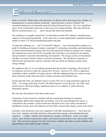# EXECUTIVE SUMMARY

*Make no mistake!* Photovoltaic solar electricity *can* deliver and *is* delivering clean, reliable, ondemand power in current markets worldwide. And it has been a "power of choice" for consumers during our own domestic needs for critical electrical service. Yes, it is a significant player in the United States and in the world's *long-term* energy portfolio. But solar electricity delivers electrical power *now* . . . and it can provide many more benefits.

Our challenge is to rapidly expand the U.S.-based photovoltaic (PV) industry's manufacturing capacity to meet growing demands. At the same time, we must significantly expand the domestic market to retain U.S.-based manufacturing plants and jobs.

To meet this challenge, we — the U.S.-based PV industry — have developed this roadmap as a guide for building our domestic industry, ensuring U.S. technology ownership, and implementing a sound commercialization strategy that will yield significant benefits at minimal cost. Putting the roadmap into action will call for reasonable and consistent co-investment by our industry and government in research and technology development. The energy security, environmental, and direct economic benefits will far exceed the investment. The benefits are immense, in both the near and long term, and are consistent with our nation developing a sound, secure energy strategy.

We emphasize that it is *not* our industry promise that photovoltaic technology will provide *all* our domestic electricity within the coming 20 to 30 years. However, PV *will* be a significant contributor within a portfolio of energy sources, with this roadmap laying out a course to meet those electricity needs when and where it makes economic and technical sense.

On the domestic front, our industry's goal is to meet 10% of U.S. peak generation capacity by 2030 — the energy equivalent of some 180 million barrels of oil in that year. By 2020, solarelectric power will be providing a significant share of *new*, added U.S. peak electricity generating capacity.

But why does this picture of the future make sense?

Generation of solar electricity coincides with the normal peak demand of customers. Additionally, photovoltaic energy does not pollute, uses a free and abundant fuel source, is controlled by the customer, can be located near the point of use, frees utility investment in distribution systems, slows the depletion of fossil fuels, and provides energy security and control.

Currently, solar electricity is not cost competitive with bulk, baseload power — but it does not *have* to be. Instead, it provides electricity when and where energy is most limited and most expensive — a highly valuable and tremendously strategic contribution. It does not simply *replace* some fraction of generation; rather, solar-electric power *displaces* the *right* portion of the load. Solar electricity mitigates the risk of fuel-price volatility and improves grid reliability, thus guaranteeing a more stable energy economy.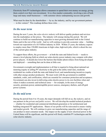Electricity from PV technologies allows consumers to spend their own money on energy, giving them control over their own investment. It is a free-market commodity, involving a mix of both large and many small businesses — with customer choice underpinning success and growth.

What must be done by the shareholders — by us, the industry, and by our government partners — in this venture? This roadmap defines these roles . . .

#### *In the near term*

During the next 3 years, the *solar-electric industry* will deliver quality products and services into the marketplace at fair prices. The industry will emerge during this period. We will continue to build our manufacturing capacities to meet growing demands both in the United States and in the rest of the world. And we will continue to provide economic value — building toward our expectation of a \$15 billion industry in 2020. Within 25 years, the industry expects to employ more than 150,000 Americans in high-value, high-tech jobs, which is about the size of the current glass industry.

To support these efforts, the *government —* at both the state and federal levels — needs to ensure a level playing field on which our solar-electric power industry may compete with other power players. It should also lower the barriers that hinder photovoltaics from being developed and deployed — something that can be done at little cost.

Government oversight and implementation is all that is required to bring about national net metering (equity in selling PV electricity to the grid at the utility retail rate), moderate residential tax credits at both the state and federal level, and manufacturing incentives (equity with other energy-product producers). We must work with the government to establish standards, codes, and certification, which are essential for consumer protection and acceptance. Government can also invest in delivering solar-electric power to its own facilities when and where it makes economic and technical sense — for example, in the areas of energy security, premium power, uninterruptible power sources, emergency shelters, and off-grid power systems.

#### *In the mid term*

During the period from 4 to 10 years, the major demands will fall on us, the *industry*, and on our partners in the *private and public sectors*. We will develop the needed technical products — whether for residential and commercial distributed generation or for architectural and building-integrated PV applications. Shares of our profits will be reinvested to ensure vitality and market growth. We will continue to grow our manufacturing capacities and the range of our product to meet consumer needs. Our impact on the supply of new electrical power in the United States will be significant, and this period will firmly establish PV technologies and the solar-electric industry.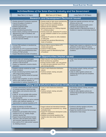|                 | Activities/Roles of the Solar-Electric Industry and the Government                                                                                                                                                                                                                                                                                                                                                                                          |                                                                                                                                                                                                                                                                                                                                                                                                                                                                                                                                |                                                                                                                                                                                                                                                                |  |  |  |  |  |  |
|-----------------|-------------------------------------------------------------------------------------------------------------------------------------------------------------------------------------------------------------------------------------------------------------------------------------------------------------------------------------------------------------------------------------------------------------------------------------------------------------|--------------------------------------------------------------------------------------------------------------------------------------------------------------------------------------------------------------------------------------------------------------------------------------------------------------------------------------------------------------------------------------------------------------------------------------------------------------------------------------------------------------------------------|----------------------------------------------------------------------------------------------------------------------------------------------------------------------------------------------------------------------------------------------------------------|--|--|--|--|--|--|
|                 | Near-Term (1-3 Years)                                                                                                                                                                                                                                                                                                                                                                                                                                       | Mid-Term (4-10 Years)                                                                                                                                                                                                                                                                                                                                                                                                                                                                                                          | Long-Term (11-20 Years)                                                                                                                                                                                                                                        |  |  |  |  |  |  |
|                 | <b>Research and Development (Technical Issues)</b>                                                                                                                                                                                                                                                                                                                                                                                                          |                                                                                                                                                                                                                                                                                                                                                                                                                                                                                                                                |                                                                                                                                                                                                                                                                |  |  |  |  |  |  |
| Industry Role   | • Develop advanced PV production equipment<br>• Improve throughput of products in<br>manufacturing processes<br>• Enhance investment capital<br>• Integrate R&D activities<br>• Create manufacturing partnerships<br>• Garner industry consensus and framework for<br>Manufacturing Center of Excellence, and<br>initiate operations<br>• Develop prepackaged PV systems for reduced<br>cost and improved reliability                                       | . Develop model for high-volume manufacturing<br>• Ensure steady flow of available silicon<br>• Agree on common equipment standards<br>• Research thin-film packaging<br>• Develop technology (e.g., building-integrated<br>PV, architectural glass)<br>• Develop small-scale, standardized PV products<br>for easy installation suitable for do-it-yourselfer<br>market<br>• Standardize PV systems for utility installation<br>on utility grids<br>• Complete fully operational Manufacturing<br><b>Center of Excellence</b> | • Create new materials and devices with high<br>efficiency and low cost<br>• Develop quality assurance/quality control<br>methods to test products on site<br>• Expand operation of Manufacturing Center of<br>Excellence in response to technology directions |  |  |  |  |  |  |
| Government Role | • Increase R&D emphasis on manufacturing<br>improvements<br>• Expand the use of PV in government facilities<br>where it makes economical/technical sense<br>• Continue PV R&D activities<br>• Support Manufacturing Center of Excellence                                                                                                                                                                                                                    | • Sponsor R&D to improve lifetime of PV<br>modules and systems<br>• Continue PV R&D activities<br>• Continue support for Manufacturing Center<br>of Excellence                                                                                                                                                                                                                                                                                                                                                                 | • Support basic research on materials for the next<br>generations of solar-electric PV systems<br>• Continue support for Manufacturing Center of<br>Excellence                                                                                                 |  |  |  |  |  |  |
|                 |                                                                                                                                                                                                                                                                                                                                                                                                                                                             | <b>Market Opportunities (Market Issues)</b>                                                                                                                                                                                                                                                                                                                                                                                                                                                                                    |                                                                                                                                                                                                                                                                |  |  |  |  |  |  |
| Industry Role   | • Increase sales and marketing budgets<br>• Invest in manufacturing capabilities to meet<br>demand in USA and abroad<br>• Support an independent, proactive industry<br>association                                                                                                                                                                                                                                                                         | . Obtain long-term, low interest financing for PV<br>• Build manufacturing capabilities<br>• Develop business models, rules, and products<br>for utility and power generator use of PV as<br>peak shaving alternative                                                                                                                                                                                                                                                                                                          | • Foster robust domestic and international market<br>for PV                                                                                                                                                                                                    |  |  |  |  |  |  |
| Government Role | • Establish moderate residential tax credits<br>(state and federal)<br>• Create manufacturing incentives (equity with<br>other energy-product producers)<br>. Invest in PV for facilities owned and operated<br>by government<br>• Support retail competition, as well as customer<br>options under traditional regulation, as<br>opportunities for customer acquisition of PV                                                                              | • Invest in retail infrastructure distribution<br>network<br>• Continue outreach, training, and public<br>awareness projects                                                                                                                                                                                                                                                                                                                                                                                                   | • Fully develop outreach, training, and public<br>awareness program<br>• Lobby for utility regulatory policies and<br>practices that provide open and competitive<br>market for PV                                                                             |  |  |  |  |  |  |
|                 |                                                                                                                                                                                                                                                                                                                                                                                                                                                             | Policy and Institutional Initiatives (Institutional Issues)                                                                                                                                                                                                                                                                                                                                                                                                                                                                    |                                                                                                                                                                                                                                                                |  |  |  |  |  |  |
| Industry Role   | • Increase understanding and public awareness<br>for business executives, federal and state<br>policy makers, and consumers about solar<br>electricity<br>• Lobby for fair and equitable utility practices<br>that allow solar electricity to compete on a<br>level playing field<br>· Support retail competition, as well as customer<br>options under traditional regulation, as<br>opportunities for customer acquisition of PV                          | • Invest in retail infrastructure distribution<br>network<br>• Continue outreach, training, and public<br>awareness projects                                                                                                                                                                                                                                                                                                                                                                                                   | • Fully develop outreach, training, and public<br>awareness training<br>• Lobby for utility regulatory policies and<br>practices that provide open and competitive<br>market for PV                                                                            |  |  |  |  |  |  |
| Government Role | • Adopt net metering in all 50 states<br>• Adopt uniform interconnection standards in<br>all 50 states<br>· Establish fair and equitable utility business<br>practices for PV, e.g., standby charges,<br>customer retention fees<br>• Support broad outreach aimed at business<br>executives, state and federal policy makers,<br>and consumers regarding solar electricity<br>• Give credit for PV in "urban airshed" programs<br>for offsetting emissions | • Support national and international standards<br>for PV products and components (e.g., ratings,<br>verification tools)<br>• Support PV infrastructure development (codes,<br>standards, certification)<br>· Establish environmental regulations that<br>explicitly value clean energy solutions such<br>as PV                                                                                                                                                                                                                 | • Continue to develop regulatory and policy<br>framework that supports PV<br>• Support tax incentive structure that encourages<br>development of clean energy                                                                                                  |  |  |  |  |  |  |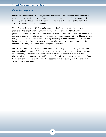#### *Over the long term*

During the 20 years of this roadmap, we must work together with government to maintain, in some areas — or regain, in others — our technical and research leadership of solar-electric technologies, from the semiconductor devices themselves to the electronics that control and ensure the quality of electricity produced.

The *industry* will invest in R&D to make manufacturing lines more effective, improve production throughput, and bring manufacturing to a position of world leadership. The *government* is asked to continue a reasonable investment in the nation's intellectual and research resource at national laboratories, universities, and other research organizations. This investment will guarantee needed improvement in existing technologies and the development of new and better technologies. These next-generation photovoltaic devices and products are vital for meeting future energy needs and maintaining U.S. leadership.

Our roadmap will guide U.S. photovoltaic research, technology, manufacturing, applications, markets, and policy through 2020. However, its ultimate success — the significant growth of solar electricity — depends on the investments, guidance, and attention given to it now. Photovoltaic solar power can be a significant part of our electrical energy economy in the future. How significant it is — and who owns it — depends on setting our sights in the right direction on the right road — *today.*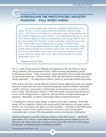# C HAPTER 1

# INTRODUCING THE PHOTOVOLTAIC INDUSTRY ROADMAP… FULL SPEED AHEAD CHAPTER 1

*"As we meet tonight, many citizens are struggling with the high cost of energy. We have a serious energy problem that demands a national energy policy….The [western United States] is confronting a major energy shortage that has resulted in high prices and uncertainty. I have asked federal agencies to work with California officials to help speed construction of new energy sources. And I have directed [the] Vice President, Commerce Secretary, Energy Secretary, and other senior members of my administration to develop a national energy policy….Our energy demand outstrips our supply. We can produce more energy at home while protecting our environment, and we must. We can produce more electricity to meet demand, and we must. We can promote alternative energy sources and conservation, and we must. America must become more energy independent, and we will."*

- President George W. Bush<sup>1</sup>

The  $21<sup>st</sup>$  century brings numerous challenges and opportunities that will affect our nation's energy, economic, and environmental security. Global economic and population growth. Technological advances. Utility restructuring. Greater demand for power quality and reliability. Environmental sensitivities. Global warming. These major driving forces underlie the need and the opportunity — for improving our nation's systems for generating and delivering energy.

Some of these forces have already affected our nation's energy supply and security. For example, the prices of natural gas and oil have increased dramatically and have exhibited considerable volatility. Electricity restructuring in California has caused enormous increases in electricity prices recently, while during the summer of 1999, stress on the transmission and distribution system caused widespread power outages that affected millions of people and thousands of businesses. Meanwhile, our nation is increasingly reliant on imported fossil fuels.

A comprehensive national energy strategy is required to meet these challenges. Renewable energy will be an important element of an energy portfolio that improves our energy security, preserves our environment, and supports economic prosperity. A portfolio of renewable energy technologies could provide a significant fraction of the nation's electricity generation requirements and, in concert with other generation sources, provide more reliable power.

Significant among the renewable technology options is solar-electric power — specifically photovoltaics (PV), which is a semiconductor technology that converts sunlight *directly* into electricity. The "photovoltaic effect" produces direct-current (DC) electricity, while using no moving parts, consuming no fuel, and creating no pollution.

1 President George W. Bush, February 27, 2001.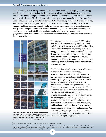#### THE U.S. PHOTOVOLTAIC INDUSTRY ROADMAP

Solar-electric power is ideally suited to be a major contributor to an emerging national energy portfolio. The U.S. electrical grid will increasingly rely on distributed energy resources in a competitive market to improve reliability and moderate distribution and transmission costs and on-peak price levels. Distributed power also allows greater customer choice — for example, some consumers place great value on power reliability or clean power, as well as on low energy cost. In addition, many regions of the United States are becoming limited by transmission capacity and local emission controls. Solar-electric power addresses these issues because it is easily sited at the point of use with no environmental impact. Moreover, because sunlight is widely available, the United States can build a solar-electric infrastructure that is geographically diverse and less vulnerable to international energy politics and volatile markets based on fossil fuels.



Figure 1 - Solar electricity from photovoltaics can be used in a wide variety of applications, which include: (a) building-integrated PV, (b) water pumping, (c) communications, (d) large-scale utility power, and (e) roadside emergency phones.

The International Energy Agency (IEA) projects that 3000 GW of new capacity will be required globally by 2020, valued at around \$3 trillion; IEA also projects that the fastest-growing sources of energy will be supplied by renewables.<sup>2</sup> Much of this new capacity will be installed in developing nations where solar-electric power is already competitive. Clearly, the nation that can capture a leadership position has the potential for substantial economic returns.

The United States has long been the world's leader in photovoltaic research, technology, manufacturing, and sales. But other countries have awakened to the potential of photovoltaics and its rapidly growing markets. These countries are accelerating their own efforts to secure dominant technologies and global market share. Consequently, over the past few years, the United States has lost its dominant market share and now risks losing its lead in developing and commercializing technology. If we do not rise to the challenge of reestablishing a leadership position, then our domestic PV industry — which includes U.S.-based manufacturers, distributors, and installers — will continue to lose technology leadership, market share, jobs,<sup>3</sup> and revenues. We will be importing PV products to meet domestic demands for electricity — a position similar to the one we are in regarding petroleum.

2 IEA's *World Energy Outlook 2001, Executive Summary* (See www.eia.doe.gov/oiaf/aeo).

 $3$  Currently, our expanding U.S. PV industry directly employs some 20,000 people and indirectly supports more than 100,000 jobs. See M. Renner, "Energy Alternatives and Jobs," *Renewable Energy World,* November-December 2000, 27-32; Solar Electric Industries Association, *Solar Jobs for Today & Tomorrow* (See http://www.seia.org/sf/sfjobs.html).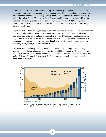We in the U.S.-based PV industry are working hard to meet growing market demand, confront increasing foreign competition, and build a stronger leadership position, because we realize the environmental, economic, and energy security benefits of a large and profitable PV industry within the United States. To do so, we have devised a unified industry roadmap with a vision and long-term strategies, goals, and targets through 2020. We have held two high-level meetings — the first in Chicago and the second in Dallas — in the past year to collectively develop this strategy.

Export markets —for example, village power in remote areas of the world — are significant and represent a substantial portion of current sales for our industry. These markets will *continue* to be a major part of the sales and marketing strategies of our PV industry. But because of the importance of solar-electric technology to the interests of the United States and the domestic consumer, it is imperative to develop a plan that clearly identifies our *domestic* markets as a major target for growth, sales, and consumer use.

Our roadmap will help to guide U.S. photovoltaic research, technology, manufacturing, applications, market development, and policy through 2020. Its success will depend on the direction, resources, scientific and technological approaches, and continued efforts of the "best and the brightest" among industry, the federal government, research organizations, and our educational institutions.



Figure 2 - Annual world PV shipments showing U.S. and non-U.S. production (in MW). Percent of U.S. market share is shown in light brown in the background.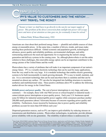# C HAPTER 2

# PV'S VALUE TO CUSTOMERS AND THE NATION … WHY TRAVEL THE ROAD? CHAPTER 2

*"Sooner or later we shall have to go directly to the sun for our major supply of power. This problem of the direct conversion from sunlight into power will occupy more and more of our attention as time goes on, for eventually it must be solved."*

— Edison Pettit, Wilson Observatory, 1932

Americans are clear about their preferred energy future — plentiful and reliable sources of clean energy at reasonable prices. At the same time, a number of drivers, trends, and issues make meeting these preferences difficult. Global economic and population growth, technological advances, power quality and reliability problems, environmental challenges, and utility restructuring underscore the need and opportunity for re-engineering the nation's energy generation and delivery systems in the coming years. So, although photovoltaics is not the entire solution to these challenges, this renewable-energy option can be an important contributor to the energy picture of the United States and the world.

Photovoltaics has a variety of attributes that will make it an important component of our nation's energy future. PV is a versatile electricity technology that can be used for many applications, from the very small to the very large. It is a modular technology that enables electric generating systems to be built incrementally to match growing demands. PV is easy to install, maintain, and use. It is a convenient technology that can be used anywhere there is sunshine and that can be mounted on almost any surface. PV can also be integrated into building structures to maximize aesthetics and multifunctional value. These positive attributes allow PV to address the following market drivers for energy in the United States.

*Reliable power and power quality.* The cost of power interruptions is very large, and some customers — for example, those with vital Web servers or critical hospital or industrial needs cannot tolerate power interruptions or poor-quality power. Each year, U.S. businesses spend some \$2 billion for industrial uninterruptible power supplies while consumers purchase another 200,000 small generators (about 3 kilowatts) because of concerns regarding power quality and reliability. Furthermore, losses incurred by businesses due to power quality and reliability problems account for more than \$30 billion each year.<sup>4</sup>

Dispersed-generation sources, such as PV, can improve grid reliability by reducing stresses on transmission and distribution systems. Photovoltaic technologies, in particular, provide ultimate power reliability with on-site generation. The reliability of photovoltaics is underscored, for

<sup>4</sup>  Imre Gyuk, EESAT2000 Conference Paper, *Electrical Energy Storage Systems, Applications and Technologies*, Orlando, Florida, September 18- 20, 2000; Venture Development Corporation. "The Global Markets for Uninterruptible Power Supplies, Volume 1: North America 5.0 KVA and Under," March 1999 (http://www.vdc-corp.com/news/news99/pr99-13-frames.html); Venture Development Corporation, "The Global Markets for Uninterruptible Power Supplies, Volume 2: North America Over 5.0 KVA," April 1999 (http://www.vdc-corp.com/news/news99/pr99-14 frames.html).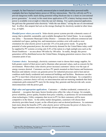example, by San Francisco's recently announced plan to install photovoltaic-powered traffic stoplights that have backup battery power at 100 key intersections. The City will rely on PV to prevent dangerous traffic snarls during potential rolling blackouts due to a strain on conventional power generation.<sup>5</sup> As noted, in this stand alone application of PV, a battery backup ensures that power is available even at night or when the sun isn't shining. For a grid-connected application, the grid uses the generated solar electricity "while the sun shines," saving the use of conventional fuel. In effect, this unspent fuel acts as the storage (backup) for electricity needed at other times (e.g., at night).

Plentiful power where you need it. Solar-electric power systems provide a domestic source of energy that is plentiful, sustainable, and available throughout the United States. As an example, one utility — Sacramento Municipal Utility District — estimates that sufficient commercial and residential roof space, parking lots, and transmission corridors exist with south-to-west orientation for solar-electric power to provide 15% of its peak power needs. To grasp the potential of solar-generated power, the total electricity demand for the United States today could be supplied by PV systems covering only 0.4% of the nation in a high-sunlight area such as the Desert Southwest — an area about 100 miles by 100 miles. In reality, though, this power generation will be distributed across the United States, bringing generation sources close to the consumer point of use.

*Customer choice.* Increasingly, electricity customers want to choose their energy supplier, for both greater control of their power and to illustrate other personal values, such as concern for the environment. Photovoltaic solar-electric power increases customers' choice over the type of energy resource desired. Customers can have PV panels mounted on their homes and businesses. Business and industry owners can generate power for industrial processes and to heat and aircondition multi-family residential and commercial buildings and facilities. Businesses can also use PV to meet their critical power needs during power outages and shortages. In a competitive marketplace, customer choice will rely on interconnection and net-metering standards that fairly compensate grid-connected PV users for the energy they generate and that provide safe, secure interconnections with the power grid.

*High value and appropriate applications.* Customers — whether residential, commercial, or industrial — recognize that many factors besides price affect the value of energy: for example, power reliability, power quality, freedom from price volatility, or preference for environmentally clean technologies. Utility companies that invest in PV for their customers will be more competitive in the future. As the utility market deregulates, customers will choose their electricity providers based, in part, on the offered price and on desired preferences. As customers learn more about the benefits of PV, solar-electric power will become the power of choice for a larger number of customers and in increasingly diverse applications.

<sup>5</sup> "February 2001, Miscellaneous," *San Francisco Chronicle*, 2/1/01, Article posted on NCPV Hotline, (http://www.nrel.gov/ncpv/hotline\_feb2001.html).

9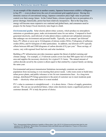As an example of this situation in another country, Japanese homeowners exhibit a willingness to buy PV — even at about twice the cost of conventional grid-supplied power. Having few domestic sources of conventional energy, Japanese consumers place high value on personal control over their energy future. In the United States, citizens typically have no perception of a power shortage; historically, power has been relatively inexpensive. But in the long term, energy will become more expensive on a national and global basis, and consumers need to prepare for the bump if local electricity rates begin to climb.

*Environmental quality.* Solar-electric photovoltaic systems, which produce no atmospheric emissions or greenhouse gases, make environmental sense for our nation. Compared to fossilgenerated electricity, each kilowatt of solar photovoltaics could prevent substantial emissions that endanger our environment and personal health. Typically, on an annual "per kilowatt" basis, PV offsets or saves up to 16 kilograms of nitrous oxides (NOx), 9 kilograms of sulfurous oxides (SOx), and 0.6 kilogram of other particulates. In addition, one kilowatt of PV typically offsets between 600 and 2300 kilograms of carbon dioxide  $(CO_2)$  per year. These savings, of course, vary with regional fossil fuel mix and solar insolation.

Building a PV infrastructure provides insurance against the threat of global warming and climate change. For example, a 2.5-kilowatt system covers less than 400 square feet of rooftop area and supplies the necessary electricity for a typical U.S. home. The annual amount of carbon dioxide saved by the system is about equal to that emitted by a typical family car during the same year.

Environmental and power-transmission limitations increasingly constrain our nation's population from increasing or even meeting their power needs. Little room exists to build intraurban power plants, and public tolerance is low for new transmission lines. As a long-term strategy, distributed PV brings generation to the point of customer use to meet moderate peak loads — electricity when and where it is most needed.

PV's value to customers is straightforward — it is about choice. Choice of supply, generation, and use. We can see our preferred future, where solar electricity meets a significant portion of customer demand. PV is truly the power of choice.

6 EPA, "Demonstrating Pollution Reduction Capability of Photovoltaics" (See 199.223.18.230/epa/rew.nsf/soloar/index.html for solar calculator); P.D. Moskowitz, "Photovoltaics: Environmental, Safety and Health Issues and Perspectives," *Progress in Photovoltaics, Millennium Issue*, **8**, 27-38, 2000.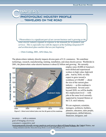# C HAPTER 3

# PHOTOVOLTAIC INDUSTRY PROFILE … TRAVELERS ON THE ROAD CHAPTER 3

*"Photovoltaics is a significant part of our current business and is growing as the solar-electric industry expands in response to the demands for its products and services. This is especially true with the impacts of the building-integrated PV and architectural glass markets that are just beginning."*

— Chris Cording, 2001, AFG Glass, Inc.

The photovoltaics industry directly impacts diverse parts of U.S. commerce. We contribute technology, research, manufacturing, training, installation, and clean electric power. Worldwide in 2001, the photovoltaic solar-electric business is about \$2 billion and growing. We currently



employ some 20,000 of America's most skilled and experienced workers in high-value, high-tech jobs. And by 2020, we fully expect to grow toward a workforce of  $150,000^7$  — about the size of the current glass industry — as this roadmap is implemented. Several years beyond 2020, we will be double this employment level — with jobs at the same level currently supported by General Motors or the U.S. steel industry.

We are engineers, scientists, managers, architects, builders, planners, educators, sales people, entrepreneurs, skilled laborers, financiers, designers, and

Figure 3 - Direct and indirect jobs over the 20 years of this roadmap.

investors — with a common goal of bringing *electricity* 

*consumers competitive and* 

*enxiranmentalbr.friendly energy pmalucta and ser* rices at lat will benefit them, the United States, our "Energy Alternatives and Jobs," *Renewable Energy World*, v.3, n.6, Nov/Dec 2000, pp. 26-32.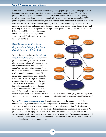Automated teller machines (ATMs), cellular telephones, pagers, global positioning systems for transportation, microwave transmissions, communication repeaters, direct TV — all these products already depend on photovoltaic power for their information transfer. Emergency warning systems, telephones and telecommunications, uninterruptible power supplies (UPS), premium power, highway, information, and construction signs, and numerous consumer products have selected PV for reliable and best-option power in our everyday living. The demand is growing for residential and commercial distributed generation, because solar electricity *can* and *is* helping to solve the critical power delivery problems spreading throughout our nation. We are

U.S. industry, U.S. jobs, U.S. technology united to be a positive and significant contributor to U.S. electricity security and its energy portfolio.

*Who We Are — the People and Organizations Bringing You Solar Electricity — and What We Do* 

We are the semiconductor *solar cell and module manufacturers and vendors* who provide the building blocks for the solarelectric power system. We represent some two dozen companies with three dozen manufacturing sites in this country alone. In 2000, we shipped about one-third of the world's module products — some 75 megawatts. Our manufacturing capacity has doubled in the past 5 years, and we expect another doubling within the next 3 years, with an arsenal of technologies that includes crystalline, thin-film, and concentrator products. Our business has exceeded \$500 million per year, and we contribute positively to the nation's balance of payments with an aggressive export market.



Figure 4 - A wide variety of manufacturers, businesses, regulatory boards, and educational organizations help bring high-quality solar-electric power to consumers.

We are PV equipment manufacturers, designing and supplying the equipment needed to fabricate devices, assemble modules, and test products. We are the lifeline for the industry, challenged to anticipate evolving technology and to be ready with required fabrication and measurement systems when those products are set for production. Because of the nature of PV products, much of the equipment is specialized, with some equipment adaptable from the semiconductor electronics industry. Therefore, we serve more than 50 companies, including both solar-cell and module manufacturers who maintain relationships with PV-dedicated businesses and semiconductor industry equipment suppliers.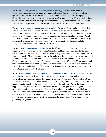We are *balance-of-systems (BOS) manufacturers and suppliers* who make and market electronic components, and any necessary storage elements, that complete the solar-electric system. Currently, we are the 25 companies that design, develop, and fabricate equipment, electronics, and devices to monitor, control, ensure quality, store, and provide a utility interface to the electrical power produced by photovoltaic modules. Together with solar-cell and module manufacturers, we provide clean, reliable power appropriately sized to the application.

We are *system integrators, packagers, and installers*. We are the hands and minds that bring solar-electric power to consumers. We work with individuals on their residences, with groups for microgrids and power parks, and with utilities for central-station and distributed-generation applications. We employ skilled labor to mount, monitor, and maintain these systems. We also work with builders and architects to meet local codes, standards, and regulations, and to design aesthetically pleasing buildings that enhance owner investment. Our directory includes some 170 primary businesses in the United States alone.

We are *research and academic institutions* — the life support system for this expanding industry. We are responsible for preparing the leaders and high-tech work force for the solarelectric industry. We educate and train the scientists, engineers, technicians, and support staff to meet labor needs. Most importantly, we are the underlying force in providing critical R&D, both to improve *current* technology and to develop the *next-generation* technologies of solar electricity necessary to maintain U.S. leadership and ownership. We are the 70 universities and three national laboratories directly partnered in photovoltaic R&D. We work with industry to invent, discover, and own the intellectual property that ensures U.S. technology, U.S. economy, U.S. jobs, and U.S. industry leadership.

We are many *industries and organizations that benefit from and contribute to the solar-electric power business* — the indirect partners. We are architects and builders who integrate photovoltaics into commercial structures, residences, and subdivisions. We are skilled laborers — the roofers, electrical and metal workers, machinists, transportation engineers — who provide support structures, deliver the product, and install it for the end-user. We are the commodity suppliers — the glass industry, electronic device manufacturers, plastics and polymer industries, equipment suppliers, wire and cable makers, and steel, aluminum, and other metal industries. These industries employ the labor force to meet growing needs in direct PV manufacturing and deployment operations. The photovoltaics industry benefits other professions with millions of *indirect* jobs, with estimates of 5 to 15 such positions for each person *directly* employed in producing PV systems.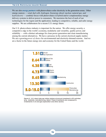#### THE U.S. PHOTOVOLTAIC INDUSTRY ROADMAP

We are also *energy partners* with photovoltaics solar electricity in the generation arena. Other energy sources — *wind, fuel cells, hydrogen, bioenergy, diesel, nuclear, natural gas, and hydroelectric —* combine forces with photovoltaics in hybrid and/or complementary energy delivery systems to deliver power to consumers. We maximize the best of each of our technologies for the region and the application, leading to competitive, reliable, and safer energy supplies. We are collaborators for a secure U.S. energy future.

Our U.S. photovoltaics industry is important for the nation. We offer energy security, a competitive edge in the world's economy, modularity and versatility, quality power, and reliability — with a distinct advantage for clean power generation and clean manufacturing among the current alternatives. We have a presence in the current electrical-supply market. We are a growing *power of choice* for environmental and electricity-demand reasons. And we are a factor in the future energy mix and economy for the United States and the world.



Figure 5 - U.S. direct jobs per million dollars of annual investment in PV activities (e.g., materials, manufacturing, labor). These investments are compared to investments in oil and gas exploration and other sectors.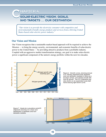C HAPTER 4

# SOLAR-ELECTRIC VISION, GOALS, AND TARGETS … OUR DESTINATION CHAPTER 4

*"Our vision is to provide the electricity consumer with competitive and environmentally friendly energy products and services from a thriving United States-based solar-electric power industry."*

#### **Our Vision and Mission**

Our Vision recognizes that a sustainable market-based approach will be required to achieve the Mission — to bring the energy security, environmental, and economic benefits of solar-electric power to the United States — by providing attractive products from a profitable industry. Coupled with an aggressive market transformation strategy, our goal is to make solar-electric power a significant component of the nation's energy portfolio within the next two decades.

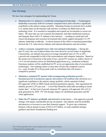#### **Our Strategy**

We have four strategies for implementing the Vision:

- **Maintain the U.S. industry's worldwide technological leadership Technological** leadership is necessary both for economic competitiveness and to become a significant contributor to the nation's energy portfolio. Mounting foreign investments have eroded U.S. market share on the business side and have overtaken our R&D lead on the technology front. It is essential to strengthen and expand our investments to secure our future. We must take our core research, development, and other intellectual resources and integrate them with U.S. industry's best interests — resulting in sound and wellconceived programs and *sustained* investments that clearly support and guide U.S. PV industry leadership worldwide. A critical element of this effort is sustained partnerships between the U.S. solar-electric industry and national laboratories and universities.
- **<sup>** $\circ$ **</sup> Achieve economic competitiveness with conventional technologies During the** past 25 years, the cost of photovoltaics has come down by several orders of magnitude. Concurrently, our industry has grown at average annualized rates of 15% to 20% a growth rate comparable to that of the semiconductor and computer industries. Based on the actual cost of electricity at the point of use, current PV systems are within a factor of 2 to 5 of conventional sources for distributed applications (e.g., residential rooftops). Enormous markets will be established for PV as its cost approaches that of conventional technologies. Our roadmap charts a course that will provide competitive power (i.e., costs of under \$3 to \$4 per peak watt) in a timeframe that will ensure a competitive position.
- 7 **Maintain a sustained PV market with accompanying production growth** Sustained growth in production capacity and markets will establish solar electricity as a significant contributor to the nation's energy portfolio, which consisted of about 825 gigawatts<sup>8</sup> (GW) in 2000 of peak electrical generation capacity. Our expectation for industry growth is 25% per year — a level that should be achievable according to recent market data. $\degree$  At this level of growth, domestic PV capacity will approach 10% of U.S. peak generation by 2030. PV will strongly impact AC distributed generation and DC value applications.
- **Make the PV industry profitable and attractive to investors Our aggressive growth** strategy will require considerable private investment. Our industry must be profitable and attractive to investors to earn their financial support. To grow into a domestic business with an annual revenue of \$10 to \$15 billion, we must establish strategic guidance and attract foundational funding now.

<sup>8</sup>  *IEA's World EnergyOutlook 2001, Executive Summary* (See www.eia.doe.gov/oiaf/aeo).

<sup>9</sup>  P. Maycock, *PV News*, February 2001.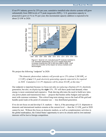If our PV industry grows by 25% per year, cumulative installed solar electric systems will grow substantially from 2000 levels of 75 peak megawatts  $(MW<sub>n</sub>)$ . U.S. generation capacity is projected to grow at 1% to 3% per year; this incremental capacity addition is expected to be about 22 GW in 2020.



Figure 8 - Goal for U.S. manufactured PV modules installed in U.S. domestic applications, for a U.S. market share that increases linearly from 30% to 50% from 2000 to 2020. Inset shows the evolution of the impact of various markets and technologies.

We project the following "endpoint" in 2020:

*"The domestic photovoltaic industry will provide up to 15% (about 3,200 MW , or <sup>p</sup> 3.2 GW*, *of new U.S. peak electricity generating capacity expected to be required in 2020. Cumulative U.S. PV shipments will be about 36 GW<sub><i>p*</sub> at this time."</sub>

Our endpoint is important because we focus not only on *replacing* a fraction of U.S. electricity generation, but also, on *displacing* the **right** 15%. PV will shave peak-load demand, when energy is most constrained and expensive. Peak shaving alleviates the need to build new intracity power plants and transmission lines — projects that burden utility budgets and typically meet with customer resistance. This critical long-term strategy moves the load off the grid and handles peak loads at the point of consumer use — true distributed generation.

If we do not focus on and develop U.S. markets — that is, if the percentage of U.S. shipments to domestic and international markets remains at the current level — then the 3.2 GW<sub>p</sub> goal in 2020 cannot be met. Without this focus on domestic markets, as well as complementary activities in the global marketplace, the United States' opportunity to serve its citizens and its own national interests will be lost to foreign competition.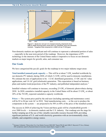

Figure 9 - Goals for annual U.S.-based industry shipments from 2001 to 2020 showing both world and U.S. domestic and non-domestic markets. Targeted total shipments in 2020 will be 17 GW/year.

Non-domestic markets are significant and will continue to represent a substantial portion of sales — especially in the near-term period of the roadmap. However, the importance of PV technology to the interests of the United States makes it imperative to focus on our domestic markets as major targets for growth, sales, and consumer use.

#### **Our Goals**

We have categorized the *specific* goals for the roadmap in two major industry target areas:

**Total installed (annual) peak capacity — This will be at about 7 GW<sub>p</sub> installed worldwide by** our domestic PV industry during 2020, of which 3.2 GW, will be used in domestic installations. We estimate the mix of applications to be:  $1/2$  AC distributed generation,  $1/3$  DC and AC value applications, and 1/6 AC grid (wholesale) generation. This expectation is based on business plans and market trend projections of the PV industry, and published independent analyses.<sup>10</sup>

Installed volumes will continue to increase, exceeding  $25 \text{ GW}$ <sub>o</sub> of domestic photovoltaics during 2030. In 2020, cumulative installed capacity in the United States will be about 15 GW<sub>n</sub>, or about  $20\%$  of the 70 GW<sub>p</sub> expected cumulative capacity worldwide.

Prices — The system price paid by the end-user (including operating and maintenance costs) will be \$3 to \$4 per watt AC in 2010. Total manufacturing costs — or the cost to produce the components in the system — are projected to be 50% to 60% of the price of the installed system.

The success in 2020 of achieving the Vision and these goals will be a hundredfold growth over 2000 levels — in domestic markets and the U.S. industry. Our roadmap sets the stage for further ramping up of the use of this valuable renewable resource beyond 2020, providing significant portions of U.S. and world electricity generation with an environmentally clean, reliable, and competitive energy source.

<sup>10</sup>  Strategies Unlimited, "Photovoltaic Five-Year Market Forecast 2000-2005" Report PM-48, April 2000; P. Maycock, *PV News*, February 2001; proprietary report by Raymond James & Associates, Equity Report, August 31, 2000.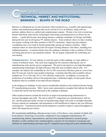# C HAPTER 5

# TECHNICAL, MARKET, AND INSTITUTIONAL BARRIERS … BUMPS IN THE ROAD CHAPTER 5

Barriers to widespread use of solar electricity reflect technical (e.g., scientific and engineering), market, and institutional problems that can be solved if we as an industry, along with our partners, address them in a unified and complementary manner. We play a key role in removing barriers that block solar-electric technologies from being a prominent power of choice for our nation — a point that became clear during intensive roadmap workshops in Chicago and Dallas during the last year involving key PV industry players. Some solutions where we take a leading role require working with other members of the PV community. Improving intra-industry coordination may even result in formal partnerships among our industry members. Other solutions where we must take the lead will require forming alliances with others, including nontraditional partners. A common theme from the roadmap workshops is that a coalition of forces can bring great power to any potential solution. We are largely responsible for controlling our own destiny.

Technical barriers. For our industry to reach the goals of this roadmap, we must address a variety of technical issues. One such issue topping the list concerns reducing the cost of manufacturing solar-electric power components. We need to develop low-cost high-throughput manufacturing technologies for high-efficiency thin-film and crystalline-silicon cells. For example, the industry has established an 18% to 20% conversion efficiency goal at a cost of less than 50 cents per watt for each module technology. Currently, thin-film and crystalline-silicon modules are 7% to 10% and 12% to 14% efficient, respectively. In addition, to increase the production of crystalline silicon at the projected rates, a dedicated supply of solar-grade silicon feedstock must be available at less than \$20 per kilogram.

In developing our roadmap, we have given considerable attention to the technical barriers facing PV manufacturing processes. Table 1 gives some representative examples that indicate the depth to which this barrier has been discussed at the roadmap workshops.

Other technical barriers include the need for an improved manufacturing infrastructure to increase throughput and yield. The rate at which PV components are manufactured is still too low, and the projected steady increase in manufacturing output will create even higher demands. Process controls are inadequate, and automation is still insufficient to improve the cost efficiency of production. Continued research and development is needed to improve annual throughputs to about 200 megawatts per factory.

We recommend establishing a *Manufacturing Center of Excellence*, a key element of which will be an *Industry Technology Consortium,* composed of core equipment manufacturers, PV manufacturing industry representatives, and university/national laboratory research groups. Members would contribute their multidisciplinary expertise for development of programs and facilities for understanding and improving PV component processing and system manufacturing.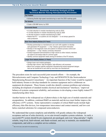#### Table 1 - Roadmap Workshop Analysis of One Technical Barrier Facing Manufacturing Processes

#### **The Problem**

• Achieving flexible high-speed manufacturing to reach the 2020 roadmap goals

#### **The Solution**

• Create a 200-MW factory by 2020

#### **Incremental Needs**

- A 5-fold reduction in module manufacturing costs by 2010
- A 10-fold reduction in module manufacturing costs by 2020
- A 40-fold increase in module manufacturing by 2020
- Realize that PV as systems are now designed is not always geared for mass production

#### **Short-Term Industry Actions (0-3 Years)**

- Develop partnerships so manufacturers can work with suppliers to develop next-generation PV equipment — a "key" industry-government interaction
- Develop in-line diagnostic tools and systems to enhance process control and development — a "key" industry-university interaction
- Conduct equipment demonstrations at high volume so other industry members can observe and analyze data for common goals
- Identify common equipment needs among all members of the PV industry

#### **Longer-Term Industry Actions (>3 Years)**

- Design lower-cost module packaging
- Develop high-volume, high-throughput, high-efficiency cell processes
- Move from company-specific equipment manufacturing toward equipment designs that can be transferred to and used by more than one manufacturer

The precedent exists for such successful joint research efforts — for example, the Microelectronics and Computer Technology Corp. and SEMATECH (the Semiconductor Manufacturing Research Consortium).<sup>11</sup> An important function of the Center would be regularly held industry forums to develop standards for common equipment and to collaborate on equipment development. These forums would also identify common problems and solutions, including development of standard module electrical and mechanical "interfaces," improved balance-of-systems component reliability, and assistance in developing a more highly trained PV manufacturing labor force.

Another barrier to the widespread use of photovoltaics is the high cost of module materials and encapsulation. In addition, continued  $R&D$  on materials and devices must further improve the efficiency of PV systems. Some representative examples of critical R&D needs include highefficiency thin-film devices, low-temperature interconnect and contact material, and low-cost lattice-matched substrates for compound semiconductors.

We understand that system simplicity and reliability will greatly enhance the widespread acceptance and use of solar electricity, so we aim toward complete systems solutions. As such, a successful PV system should be pre-engineered, pre-packaged, and even "plug-and-play"; highly reliable, long-lived, fault-tolerant, and shade-resistant; and easy to maintain, use standardized components, and sold as a complete service solution.

11 See www.mcc.com and www.sematech.org.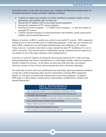Successful systems can be achieved in many ways, including the following consensus ideas we formulated during the Chicago and Dallas roadmap workshops:

- Continue to support large numbers of rooftop installations, gleaning valuable systems performance and reliability data for future use
- 7 Educate the PV industry itself on successful systems integration
- Increase the experience of PV systems engineers
- Develop an incentive program a "Golden Carrot" program to spur the creation of packaged PV systems
- 7 Continue national meetings on system performance and reliability, jointly sponsored by industry and the national laboratories.

Balance of systems, or BOS, is another area critical to successful PV systems. BOS components include power inverters and other power-conditioning equipment. In the past, less attention was paid to BOS, compared to cell and module manufacturing, when defining our PV industry. Today, however, we clearly realize that we must consider the entire PV installation if we are to achieve our goals. This renewed spirit of collaboration among companies from all segments of our industry is one of the major outcomes of the roadmap process.

Likewise, we in the PV industry are taking the lead in going outside the PV world to develop formal partnerships with inverter manufacturers, to create highly reliable, relatively inexpensive, flexible, trouble-free inverters. In the future, inverters may look more like conventional electronic systems, be free of noise, and incorporate new power electronic topologies.

We realize that inverters must meet qualification tests and satisfy rigid interconnection standards to help stave off the burgeoning influx into the United States of foreign BOS components. Ideally, we will agree on and develop common power-conversion equipment. To address BOS needs, we must initiate a research project representing a collaboration of industry and national laboratories.

| Table 2 - Technical Barriers to     |  |  |  |  |  |
|-------------------------------------|--|--|--|--|--|
| <b>Solar-Electricty Development</b> |  |  |  |  |  |
|                                     |  |  |  |  |  |

- Lack of widespread availability of low-cost feedstock and packaging materials
- Performance and manufacturing costs of high-efficiency silicon, thin-film, and concentrator cells and modules
- Improved reliability of modules and, especially, of balance-of-systems components
- Lack of standard products, packages, and service offerings
- Need for Manufacturing Center of Excellence
- Lack of knowledge of high-throughput processes
- Lack of standard module electrical/mechanical "interfaces"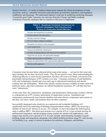**Market barriers.** A variety of market-related issues impede the robust development of solar electricity, such as: consumer awareness and education; government, legislative, and regulatory roadblocks; and financing. We understand industry's lead role in modifying marketing strategies. Toward this goal, Table 3 presents one outcome from the Chicago and Dallas roadmap workshops of specific strategies that we ourselves will strive to implement.

| • Increase value proposition to customers<br>• Develop alliances with other groups<br>• Develop a common message<br>• Form an industry coalition to strategize<br>• Strengthen the industry's trade association<br>• Lower product price<br>• Improve the distribution infrastructure<br>• Consider developing alliances with energy service companies<br>• Target end-user groups with appropriate messages<br>• Reduce technical jargon in advertising<br>• Reduce all market barriers with a plug-and-play application |
|---------------------------------------------------------------------------------------------------------------------------------------------------------------------------------------------------------------------------------------------------------------------------------------------------------------------------------------------------------------------------------------------------------------------------------------------------------------------------------------------------------------------------|
|                                                                                                                                                                                                                                                                                                                                                                                                                                                                                                                           |
|                                                                                                                                                                                                                                                                                                                                                                                                                                                                                                                           |
|                                                                                                                                                                                                                                                                                                                                                                                                                                                                                                                           |
|                                                                                                                                                                                                                                                                                                                                                                                                                                                                                                                           |
|                                                                                                                                                                                                                                                                                                                                                                                                                                                                                                                           |
|                                                                                                                                                                                                                                                                                                                                                                                                                                                                                                                           |
|                                                                                                                                                                                                                                                                                                                                                                                                                                                                                                                           |
|                                                                                                                                                                                                                                                                                                                                                                                                                                                                                                                           |
|                                                                                                                                                                                                                                                                                                                                                                                                                                                                                                                           |
|                                                                                                                                                                                                                                                                                                                                                                                                                                                                                                                           |
|                                                                                                                                                                                                                                                                                                                                                                                                                                                                                                                           |
| • Develop a killer application                                                                                                                                                                                                                                                                                                                                                                                                                                                                                            |

Consumers must become better educated about using solar energy — not just for hot water and space heating, but for their electricity needs. They do not need to worry about understanding the underlying physics of solar-electric generation; but they will want to be firmly convinced of the practicality and performance of PV systems over time. Consumer awareness of and familiarity with solar technologies should start at an early age in educational institutions and should continue into the marketplace. When solar-electric systems become available in home repair and hardware stores, and when consumers are offered installation assistance, PV will then become more "mainstream."

At the same time, the construction, installation, and maintenance infrastructure remains a barrier to widespread use of PV systems, particularly of stand-alone systems. Installation and maintenance professionals must become familiar with solar-electric components and systems so that they can select, install, and maintain them for their customers.

Successfully integrated solar electricity on commercial and residential buildings will significantly boost the marketing of building-integrated photovoltaics (BIPV) by removing a number of "perceived" barriers to its use. For example, we have developed the following key steps to address BIPV. Our short-term actions over a period of 0 to 3 years include striving for architectural integration, and developing wiring systems for curtain-wall applications. Our longer-term actions over a period of 3 to 10 years include: demonstrating examples of good building design and integration; designing value-added building products using PV; and striving for flexibility (e.g., range of colors) in products for architects, designers, and builders.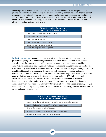Other significant market barriers include the need to develop brand-name recognition and pricing for solar-electric components and systems. Currently, consumers — whether residential, commercial, institutional, or government — purchase heating, ventilation, and air-conditioning (HVAC) products (e.g., water heaters, furnaces) by catalog or through vendors who sell specific manufacturers' products. Similarly, the market for PV products will increase through more effective branding and competitive pricing.

| Table 4 - Market Barriers to<br><b>Solar-Electricty Development</b> |
|---------------------------------------------------------------------|
| • Lack of consumer awareness and understanding                      |
| • Disincentives against net metering                                |
| • Lack of purchasing channels                                       |
| • Lack of trained installers and inspectors                         |
| • Inadequate codes and standards related to PV                      |
| • Minimal financing options for PV systems                          |
|                                                                     |

**Institutional barriers** remain, including excessive standby and interconnection charges that prohibit integrating PV systems with grid electricity. Even before electricity restructuring spreads across the country, state legislatures and regulatory agencies should be deciding on equitable interconnection charges, standby charges, and net-metering requirements and fees for solar electricity generated in distributed applications and then sold to the grid. Energy customers should find themselves with greater choice under both traditional regulation and retail competition. Where traditional regulation continues, customers ought to be free to pursue more energy efficiency and to acquire distributed generation, including PV. Individuals and organizations who install PV systems must not be "punished" with high charges for interconnection, standby, and sell-back services. Yet, they need to be confident that their distribution utility will work cooperatively with them to allow — and indeed, encourage — grid interconnection. Equity in tax policies for PV compared to other energy sources remains an issue on the state and federal levels.

#### Table 5 - Institutional Barriers to Solar-Electricity Development

• Lack of communication within industry in identifying common technical problems

• Insufficiently trained and available PV manufacturing labor force

• No solar-electric appliance ratings/standards

• Interconnection standards that inhibit solar-electric development

• Inconsistent government policy related to photovoltaics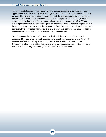#### THE U.S. PHOTOVOLTAIC INDUSTRY ROADMAP

The value of photovoltaics is becoming clearer as consumers look to more distributed energy opportunities in our increasingly volatile energy environment. Barriers to a robust PV industry do exist. Nevertheless, the product is basically sound, the market opportunities exist, and our industry's track record has improved dramatically. Although there is much to do, we remain confident that the barriers can be overcome and that cost can be reduced to realize PV's promise. We will pursue the manufacturing of PV products and the use of these commercial products in a broad range of applications within diverse markets. Our industry will also rely on the core R&D activities of the government and universities to help overcome technical barriers and to address the technical issues related to the market and institutional barriers.

Some barriers are best overcome by state or federal initiatives, whereas others are best approached by R&D efforts in academic institutions or national laboratories. Our PV industry members realize that breaking down many other barriers is within their own purview. Continuing to identify and address barriers that are clearly the responsibility of the PV industry will be a critical activity for reaching the goals set forth in this roadmap.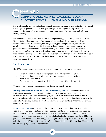HAPTER 6

### COMMERCIALIZING PHOTOVOLTAIC SOLAR-ELECTRIC POWER … ENSURING OUR ARRIVAL C CHAPTER 6

Photovoltaic solar-electric technology uniquely satisfies the requirements of the three drivers of the new power-generation landscape: premium power for high reliability, distributed generation for point-of-use economics, and renewable energy for environmental value and energy security.

Despite these attributes, the value of this enabling technology is not fully appreciated in the United States. Thus, our industry's commercialization plan will rely on market-driven incentives in federal procurement, tax, deregulation, pollution prevention, and research, development, and deployment. With ever-growing pressures — of energy imports, energy price volatility, power outages, and energy shortages — solar technologies represent a technological safety valve for American home and business owners. We in the solar industry urge that these cutting-edge technologies receive increased attention and that this attention be at least equal to that given by our industrialized competitors in Germany, Japan, and other countries around the globe.

#### **Our Main Focus**

Our PV industry, seeking to address vital energy issues, endorses a roadmap that:

- 7 Tailors research and development programs to address market solutions
- 7 Enhances pollution prevention approaches to focus on clean alternatives
- $\bullet$  Ensures customer choice
- 7 Provides targeted tax incentives that seed the market without distorting it

To achieve these goals, we are pursuing the following five strategies:

**Develop Opportunities Based on Electric Utility Deregulation — Rational deregulation** leads to customer choice. Photovoltaic solar-electric power adds unique value in alleviating the problems of supply shortages, price volatility, random and planned power outages, and constraints in transmission and distribution. Required actions involve work in the areas of net metering, consumer education, renewable energy portfolio standards, and system benefits trust funds.

**Establish Tax Equity** — National and state tax incentives, whether investment or production credits or property and sales taxes waivers, must be prioritized for emerging technologies in less mature markets. At the federal level, most energy tax benefits focus on mature energy technologies in mature markets, with estimated federal subsidies ranging from \$2 to \$8 billion per year. As a whole, renewable energy technologies receive only a small share of these energy subsidies — about \$100 million per year of federal tax subsidy — with more than 80 percent of this amount going to wind and geothermal.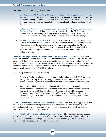#### THE U.S. PHOTOVOLTAIC INDUSTRY ROADMAP

We recommend the following tax incentives:

- 7 *Legislatively establish a 15% residential tax credit for solar-thermal and solar-electric*   $in {\rm statulation}$ . This residential tax credit — as proposed under S. 1634 and H.R. 1465 has been scored by the Joint Tax Committee at \$92 million over 5 years. This modest tax credit becomes effective if coupled with a system benefits charge for electricity at the state level.
- 7 *Institute an alternative minimum tax (AMT) waiver similar to that currently enjoyed by*  domestic oil producers. Oil producers receive a waiver from the AMT because the national interest is served by sustaining a domestic energy industry, albeit a very small one. The same justification should apply to domestic producers of solar energy.
- $\bullet$  Further expand state incentives. Currently, 35 states have some type of solar incentive — from investment credits to sales tax and property tax waivers. Such programs help establish tax equity for capital-intensive, fuel-free energy technologies. Also, if adequately promoted to the public, these programs will establish key market-driven incentives for allowing solar technologies to reach a critical market share for sustained growth.

**Increase Funding of Research, Development, and Deployment (RD&D)** - The United States' investment in photovoltaic RD&D has been in the range of \$50 to \$75 million per year, significantly less than the government's investment in conventional energy technologies. A sufficient baseline investment for federal solar-electric RD&D must be established. In addition, existing programs in other agencies should co-invest in the development and demonstration (deployment) portion of the PV RD&D budget.

Specifically, we recommend the following:

- 7 Consistent funding levels of the next 5-year period for photovoltaic RD&D programs through the U.S. Department of Energy of *at least* \$100 million per year, to maintain technical leadership, which includes the ownership of next-generation technologies.
- 7 Support for validation for PV technology development and deployment by *other* federal agencies — including the Department of Defense, Environmental Protection Agency, Housing and Urban Development, National Institute of Science and Technology, and other DOE programs. Specifically, these funds should support other government agencies to continue to expand the use of solar-electric power for their own power needs.

**Establish Procurement Incentives for Federal Agencies — The nation's energy procurement** budget should include capital expenditures by federal agencies for cost-effective uses of photovoltaics in four categories: uninterruptible power supplies, lighting, off-grid power systems, and diesel generator replacement.

Target Pollution Prevention and Emissions Reduction - The extraction, conversion, and use of energy is the single largest cause of air and water pollution, as well as of emissions that may lead to global climate change. Solar-electric power technologies are now available that can cost-effectively provide clean, safe, reliable power.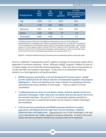| <b>Energy Source</b> | $SO_{x}$<br>$(gSO_{x}/$<br>kWh | NO <sub>x</sub><br>(gNO <sub>x</sub> /<br>kWh | $\mathsf{C}$ in<br>CO <sub>2</sub><br>(qC/kWh) | $C$ in $CO2$<br>from non-generating<br>portion of fuel cycle*<br>(gC/kWh) |
|----------------------|--------------------------------|-----------------------------------------------|------------------------------------------------|---------------------------------------------------------------------------|
| Coal                 | 3.400                          | 1.8                                           | 322.8                                          | 50.0                                                                      |
| Oil                  | 1.700                          | 0.88                                          | 258.5                                          | 50.0                                                                      |
| Natural Gas          | 0.001                          | 0.9                                           | 178.0                                          | 30.0                                                                      |
| <b>Nuclear</b>       | 0.030                          | 0.003                                         | 7.8                                            | 7.8                                                                       |
| Photovoltaics        | 0.020                          | 0.007                                         | 5.3                                            | 5.3                                                                       |

\*Estimated emissions related only to the gathering and processing of fuel, and to the building and decommissioning of the generation plant. Based on calculations derived from: R. Dones and R. Frischknecht, "Life Cycle Assessment of Photovoltaic Systems: Results of Swiss Studies on Energy Chains," *Environmental Aspects of PV Power Systems: Report on the IEA PVPS Task 1*, Report No. 97072, December 1997. Emission factors for fossil fuel from The American Gas Association; emission factors for nuclear and renewable energy sources from the Council for Renewable Energy Education (as reported by SEIA, ref. 7).

Figure 10 - Pollutant emission factors for the total and non-generating portion of the fuel cycle.

However, traditional "command and control" regulatory strategies do not promote market-driven approaches to emissions reductions. Newer "allowance trading" programs, whether for clean air or climate change, do not reward the cleanest technologies. Thus, they have not fostered the use of solar and other zero-emission technologies. To this end, we recommend the following initiatives as a fresh approach to solving this problem:

- 7 **RD&D programs, particularly at the Environmental Protection Agency, should**  implementers. These tools should provide "rules of thumb" for quantifying emissions and pollution-prevention attributes of solar energy — both on a project level and consolidated. **provide analytical tools for federal and state environmental regulators and program**
- 7 **Trading programs for clean air and climate-change emissions should reward zero**incremental reductions. The goal for U.S. environmental regulation should be to promote market-driven solutions that translate into the cleanest available technologies and installations. **emissions technologies, rather than least-cost options that provide purely short-term**
- 7 **Federal and state promotional and RD&D programs should be leveraged,**  (demonstration) and deployment. Aggregating the use of solar technologies is the only way to demonstrate and validate significant emissions reductions. To achieve this result, federal and state governments should focus on projects that can be replicated. **aggregated, and implemented through states toward technology validation**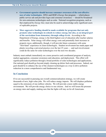- 7 **Government agencies should increase consumer awareness of the cost-effective**  uses of solar technologies. EPA's and DOE's *Energy Star* program — which places public service ads and provides logos and consumer awareness — should be broadened for zero-emissions technologies such as solar. National recognition programs, such as that employed by *Energy Star*, must also be used to acknowledge early significant users of replicable projects.
- $\diamond$ of the curriculum from elementary through college levels. According to the Department of Energy, energy is the third highest cost of education after teacher salaries and benefits. Solar energy will offset energy costs and potentially limit increases in property taxes; additionally, though, it will provide future consumers with some "first-hand" experience in clean technologies. Student involvement has made paper and plastic recycling a universal practice over the last 25 years — and such involvement could do the same for solar technologies over the next two decades. **More aggressive funding should be made available for programs that not only promote solar technologies in schools to reduce energy, but also, as an integral part**

Industry must embark immediately on a more proactive and coordinated program of analysis, market aggregation, consumer awareness and education, and deployment. This effort will significantly reduce pollution through a broad portfolio of solar technologies and applications. Our national goal should go beyond simply cleaning up dirtier fuels and processes. Indeed, our goal should be to enhance the use of the cleanest technologies as a way to drive pollution reduction in a more comprehensive and fundamental way.

#### **In Conclusion**

If we are successful in pursuing our overall commercialization strategy, we will create thousands of new, high-value jobs. We will reduce energy imports. We will displace pollution equal to the emissions of one million vehicles. We will provide a more stable energy environment. We will provide energy choice to our citizens. And we will lessen the pressure on energy rates and supply, making sure that the lights will stay on for all Americans.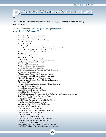P V ROADMAP WORKSHOP PARTICIPANTS LISTS V ROADMAP WORKSHOP PARTICIPANTS LISTS

*Note: The affiliations of some of the participants may have changed since the time of the workshop.*

#### **NCPV: Workshop on PV Program Strategic Direction, July 14-15, 1997 (Golden, CO)**

- Clay Aldrich, Siemens Solar Industries
- Tim Anderson, University of Florida
- Chuck Backus, Arizona State University East
- Allen Barnett, AstroPower, Inc.
- Bulent Basol, ISET
- John Benner, National Renewable Energy Laboratory
- Robert Birkmire, Institute of Energy Conversion, University of Delaware
- William Bottenberg, PVI Photovoltaics International Inc.
- Chris Cameron, Sandia National Laboratories
- David Carlson, BP Solarex
- Steve Chalmers, PowerMark
- Vikram Dalal, Iowa State University
- Michael Eckhart, Management & Financial Services
- Alan Fahrenbruch, Stanford University
- Todd Foley, BP America Inc.
- Christopher Frietas, Trace Engineering
- Robert Gay, Siemens Solar Industries
- Jessica Glicken, Ecological Planning and Toxicology, Inc.
- Ray Gordon, Harvard University
- Subhendu Guha, United Solar Systems Corporation
- Don Gwinner, National Renewable Energy Laboratory
- Brian Huff, The University of Texas at Arlington
- Roland Hulstrom, National Renewable Energy Laboratory
- Vijay Kapur, ISET
- Lawrence Kazmerski, National Renewable Energy Laboratory
- Ron Kenedi, Photocomm, Inc.
- Edward Kern, Ascension Technology
- Richard King, U.S. Department of Energy
- Roger Little, Spire Corporation
- Rose McKinney-James, Corporation for Solar Technology and Renewable Resources
- Hans Meyer, Omnion Power Engineering Corp.
- Mohan Misra, ITN Energy Systems
- Donald Osborn, Sacramento Municipal Utility District
- James Rannels, U.S. Department of Energy
- Ajeet Rohatgi, Georgia Institute of Technology
- Dan Sandwisch, Solar Cells, Inc.
- Richard Schwartz, Purdue University
- Mary Shaffner, Solar Energy Industries Association
- Jawid Shahryar, Solec International, Inc.
- Mike Stern, Utility Power Group
- Steven Strong, Solar Design Associates
- Tom Surek, National Renewable Energy Laboratory
- Margie Tatro, Sandia National Laboratories
- Jerry Ventre, Florida Solar Energy Center
- Cecile Warner, National Renewable Energy Laboratory
- John Wiles, Southwest Technology Development Institute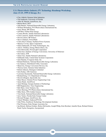#### **U.S. Photovoltaics Industry PV Technology Roadmap Workshop, June 23-25, 1999 (Chicago, IL)**

- Clay Aldrich, Siemens Solar Industries
- Tim Anderson, University of Florida
- Allen M. Barnett, AstroPower, Inc.
- Bulent Basol, ISET
- John Benner, National Renewable Energy Laboratory
- William Bottenberg, PVI Photovoltaics International Inc.
- Gerry Braun, BP Solarex
- Jeff Britt, Global Solar Energy
- Connie Brooks, Sandia National Laboratories
- Chris Cameron, Sandia National Laboratories
- David Carlson, BP Solarex
- Steve Chalmers, PowerMark
- Clint (Jito) Coleman, Northern Power Systems
- Maurice Covino, Spire Corporation
- Ghazi Darkazalli, GT Solar Technologies, Inc.
- Alan E. Delahoy, Energy Photovoltaics, Inc.
- Tom Dinwoodie, PowerLight Corporation
- Erten Eser, Institute of Energy Conversion, University of Delaware
- Jim Galica, STR
- James Gee, Sandia National Laboratories
- Subhendu Guha, United Solar Systems Corporation
- Jack Hanoka, Evergreen Solar, Inc.
- Roland Hulstrom, National Renewable Energy Laboratory
- Joe Iannucci, Distributed Utility Associates
- Masat Izu, Energy Conversion Devices, Inc.
- Theresa Jester, Siemens Solar Industries
- Robert Johnson, Strategies Unlimited
- Juris Kalejs, ASE Americas
- Lawrence Kazmerski, National Renewable Energy Laboratory
- Richard King, U.S. Department of Energy
- David Lillington, Spectrolab, Inc.
- Hans Meyer, Omnion Power Engineering Corp.
- James Rand, AstroPower
- Ajeet Rohatgi, Georgia Institute of Technology
- Bill Roppenecker, Trace Engineering
- Bob Shaw, Arete Ventures, Inc.
- Chris Sherring, PVI Photovoltaics International Inc.
- Mike Stern, UPG Golden Genesis
- Tom Surek, National Renewable Energy Laboratory
- Jerry Ventre, Florida Solar Energy Center
- Howard Wenger, AstroPower, Inc.
- Chuck Whitaker, Endecon/PVUSA
- John Wiles, Southwest Technology Development Institute
- Paul Wormser, Solar Design Associates Inc.
- Jan Brinch, Melissa Eichner, Robyn McGuckin, Joseph Philip, Kim Reichart, Jennifer Ryan, Richard Scheer, Paula Taylor, Energetics, Incorporated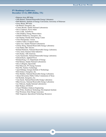#### **PV Roadmap Conference, December 13-14, 2000 (Dallas, TX)**

- Rajeewa Arya, BP Solar
- John Benner, National Renewable Energy Laboratory
- Bob Birkmire, Institute of Energy Conversion, University of Delaware
- Gerry Braun, BP Solar
- Jan Brinch, Energetics, Inc.
- Connie Brooks, Sandia National Laboratories
- Steve Chalmers, Power Mark
- Jerry Culik, AstroPower
- Alan Delahoy, Energy Photovoltaics
- Jennifer Dunleavey, Energetics, Inc.
- Jim Dunlop, Florida Solar Energy Center
- Chris Eberspacher, Unisun
- Andrew Gabor, Evergreen Solar
- James Gee, Sandia National Laboratories
- Christy Herig, National Renewable Energy Laboratory
- Tom Huber, S&C Electric
- Roland Hulstrom, National Renewable Energy Laboratory
- Terry Jester, Siemens Solar Industries
- Juris Kalejs, ASE Americas
- Larry Kazmerski, National Renewable Energy Laboratory
- Edward Kern, Applied Power
- Richard King, U.S. Department of Energy
- Paul Klimas, Sandia National Laboratories
- Dave Lillington, Spectrolab
- Paul Maycock, PV Energy Systems
- Ron Pitt, Xantrex Technology
- Ajeet Rohatgi, Georgia Institute of Technology
- Rich Scheer, Energetics, Inc.
- Pete Sheldon, National Renewable Energy Laboratory
- Alison Silverstein, Public Utility Commission of Texas
- Ed Skolnik, Energetics, Inc.
- Tom Surek, National Renewable Energy Laboratory
- Blair Swezey, National Renewable Energy Laboratory
- Joe Tillerson, Sandia National Laboratories
- Bob Walters, ENTECH
- Chuck Whitaker, Endecon Engineering
- John Wiles, Southwest Technology Development Institute
- Paul Wormser, Solar Design Associates
- Bob Yorgensen, Specialized Technology Resources